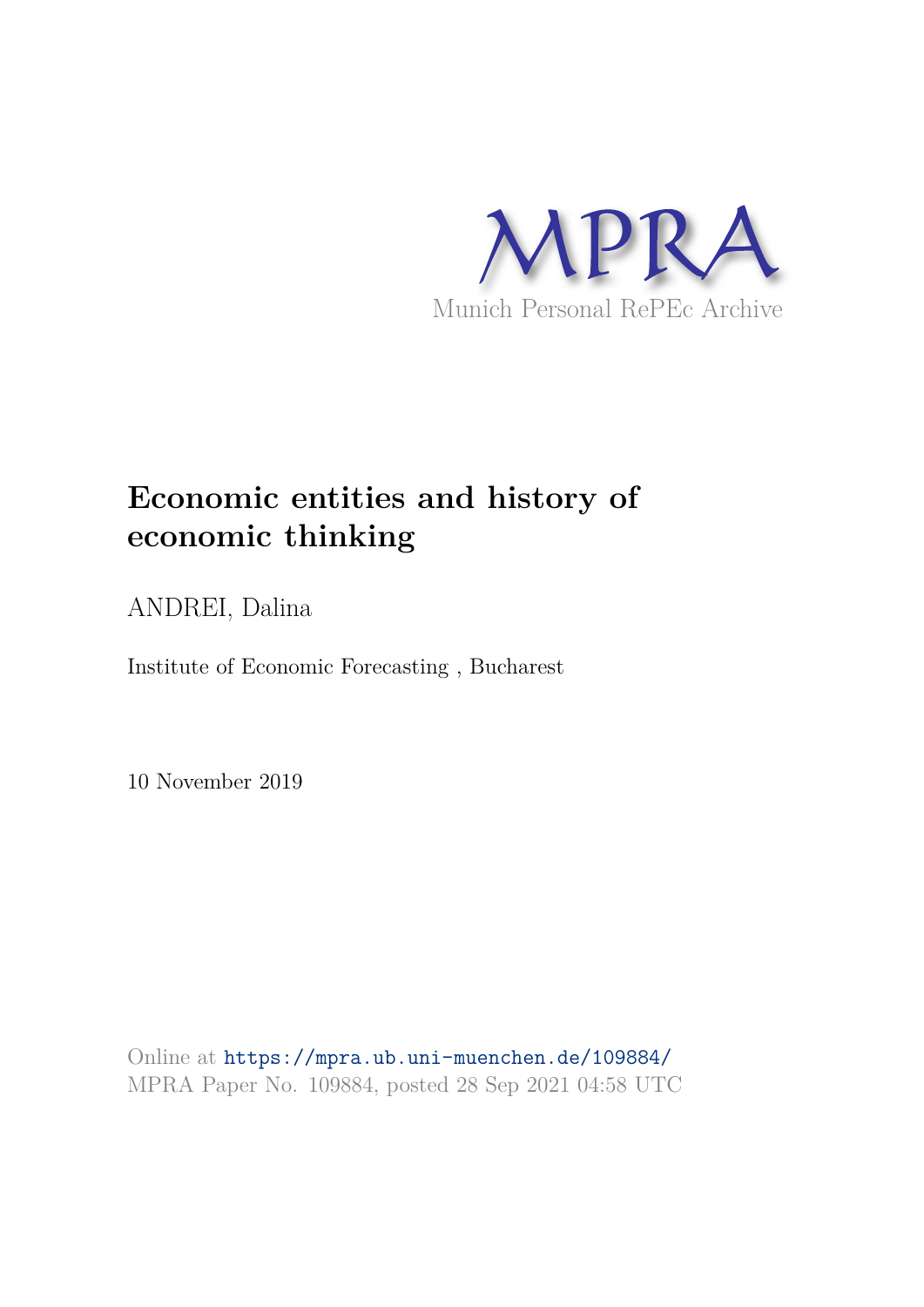

# **Economic entities and history of economic thinking**

ANDREI, Dalina

Institute of Economic Forecasting , Bucharest

10 November 2019

Online at https://mpra.ub.uni-muenchen.de/109884/ MPRA Paper No. 109884, posted 28 Sep 2021 04:58 UTC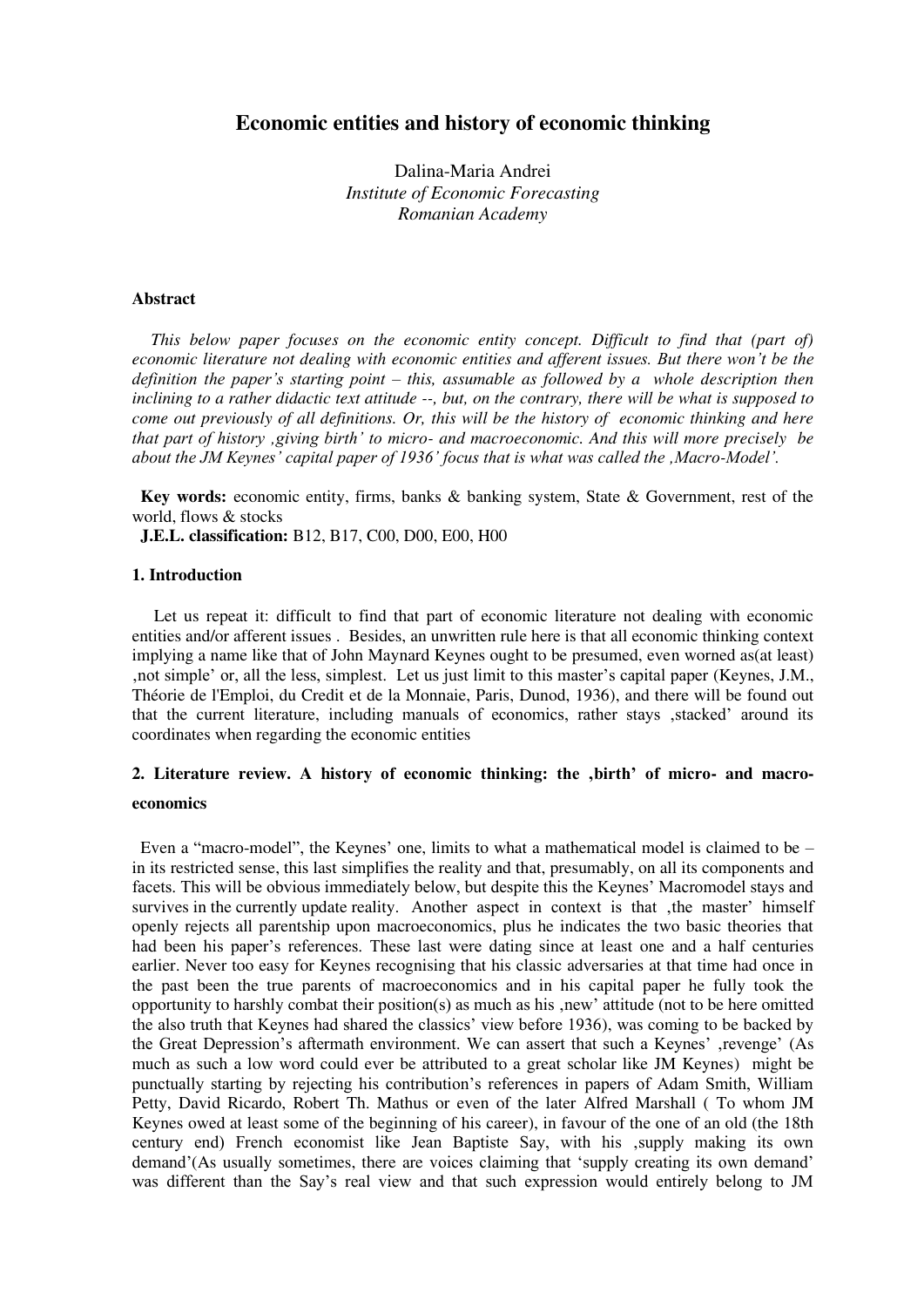# **Economic entities and history of economic thinking**

Dalina-Maria Andrei *Institute of Economic Forecasting Romanian Academy* 

### **Abstract**

*This below paper focuses on the economic entity concept. Difficult to find that (part of) economic literature not dealing with economic entities and afferent issues. But there won't be the definition the paper's starting point – this, assumable as followed by a whole description then inclining to a rather didactic text attitude --, but, on the contrary, there will be what is supposed to come out previously of all definitions. Or, this will be the history of economic thinking and here that part of history 'giving birth' to micro- and macroeconomic. And this will more precisely be about the JM Keynes' capital paper of 1936' focus that is what was called the 'Macro-Model'.*

**Key words:** economic entity, firms, banks & banking system, State & Government, rest of the world, flows & stocks

**J.E.L. classification:** B12, B17, C00, D00, E00, H00

## **1. Introduction**

Let us repeat it: difficult to find that part of economic literature not dealing with economic entities and/or afferent issues . Besides, an unwritten rule here is that all economic thinking context implying a name like that of John Maynard Keynes ought to be presumed, even worned as(at least) 'not simple' or, all the less, simplest. Let us just limit to this master's capital paper (Keynes, J.M., Théorie de l'Emploi, du Credit et de la Monnaie, Paris, Dunod, 1936), and there will be found out that the current literature, including manuals of economics, rather stays 'stacked' around its coordinates when regarding the economic entities

# **2. Literature review. A history of economic thinking: the 'birth' of micro- and macroeconomics**

Even a "macro-model", the Keynes' one, limits to what a mathematical model is claimed to be – in its restricted sense, this last simplifies the reality and that, presumably, on all its components and facets. This will be obvious immediately below, but despite this the Keynes' Macromodel stays and survives in the currently update reality. Another aspect in context is that , the master' himself openly rejects all parentship upon macroeconomics, plus he indicates the two basic theories that had been his paper's references. These last were dating since at least one and a half centuries earlier. Never too easy for Keynes recognising that his classic adversaries at that time had once in the past been the true parents of macroeconomics and in his capital paper he fully took the opportunity to harshly combat their position(s) as much as his , new' attitude (not to be here omitted the also truth that Keynes had shared the classics' view before 1936), was coming to be backed by the Great Depression's aftermath environment. We can assert that such a Keynes' , revenge' (As much as such a low word could ever be attributed to a great scholar like JM Keynes) might be punctually starting by rejecting his contribution's references in papers of Adam Smith, William Petty, David Ricardo, Robert Th. Mathus or even of the later Alfred Marshall ( To whom JM Keynes owed at least some of the beginning of his career), in favour of the one of an old (the 18th century end) French economist like Jean Baptiste Say, with his ,supply making its own demand'(As usually sometimes, there are voices claiming that 'supply creating its own demand' was different than the Say's real view and that such expression would entirely belong to JM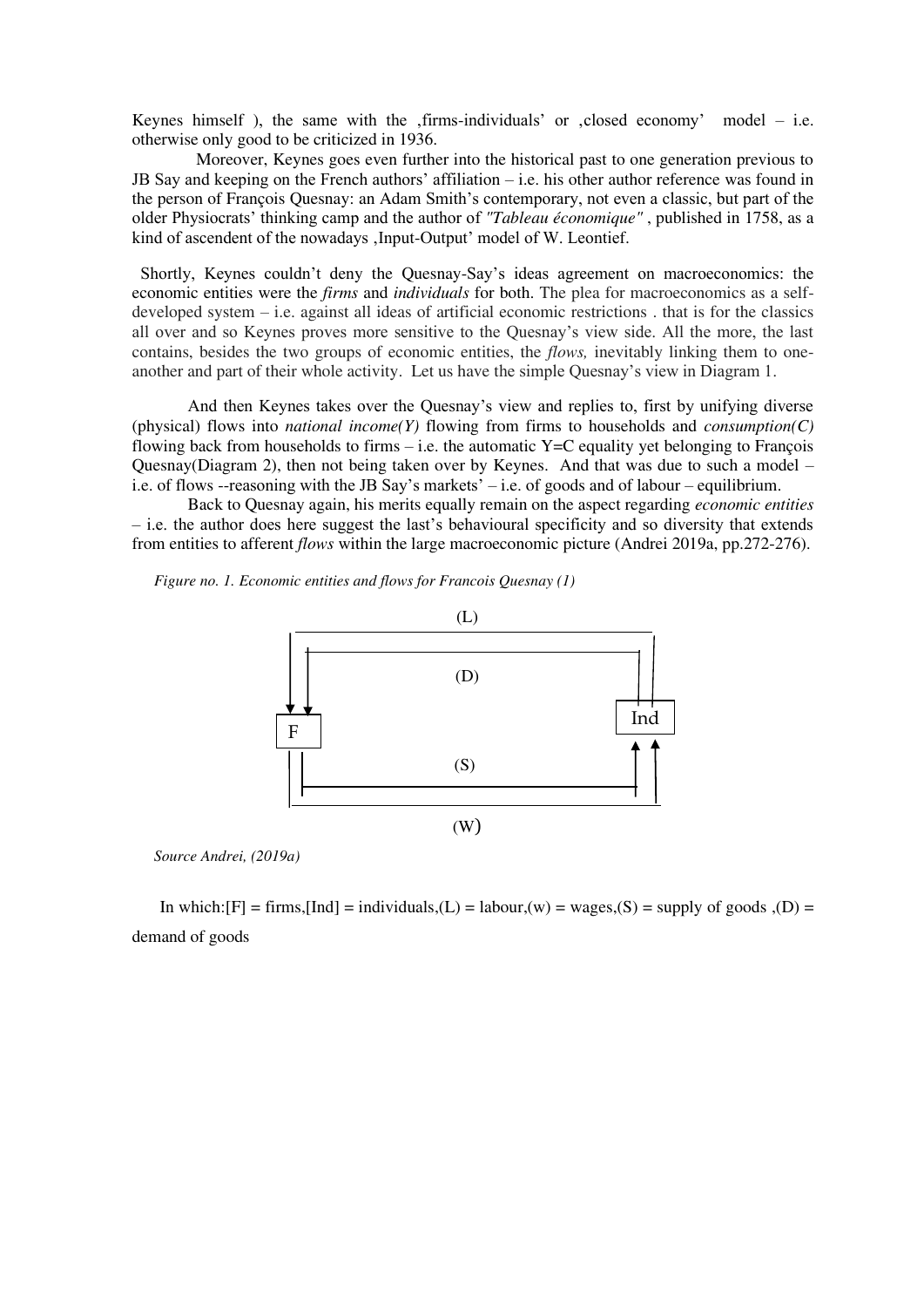Keynes himself ), the same with the  $,$  firms-individuals' or  $,$  closed economy' model – i.e. otherwise only good to be criticized in 1936.

Moreover, Keynes goes even further into the historical past to one generation previous to JB Say and keeping on the French authors' affiliation – i.e. his other author reference was found in the person of François Quesnay: an Adam Smith's contemporary, not even a classic, but part of the older Physiocrats' thinking camp and the author of *"Tableau économique"* , published in 1758, as a kind of ascendent of the nowadays , Input-Output' model of W. Leontief.

Shortly, Keynes couldn't deny the Quesnay-Say's ideas agreement on macroeconomics: the economic entities were the *firms* and *individuals* for both. The plea for macroeconomics as a selfdeveloped system – i.e. against all ideas of artificial economic restrictions . that is for the classics all over and so Keynes proves more sensitive to the Quesnay's view side. All the more, the last contains, besides the two groups of economic entities, the *flows,* inevitably linking them to oneanother and part of their whole activity. Let us have the simple Quesnay's view in Diagram 1.

And then Keynes takes over the Quesnay's view and replies to, first by unifying diverse (physical) flows into *national income(Y)* flowing from firms to households and *consumption(C)*  flowing back from households to firms  $-$  i.e. the automatic Y=C equality yet belonging to François Quesnay(Diagram 2), then not being taken over by Keynes. And that was due to such a model – i.e. of flows --reasoning with the JB Say's markets' – i.e. of goods and of labour – equilibrium.

 Back to Quesnay again, his merits equally remain on the aspect regarding *economic entities* – i.e. the author does here suggest the last's behavioural specificity and so diversity that extends from entities to afferent *flows* within the large macroeconomic picture (Andrei 2019a, pp.272-276).

*Figure no. 1. Economic entities and flows for Francois Quesnay (1)* 



*Source Andrei, (2019a)* 

In which:  $[F]$  = firms,  $[Ind]$  = individuals,  $(L)$  = labour,  $(w)$  = wages,  $(S)$  = supply of goods  $(D)$  = demand of goods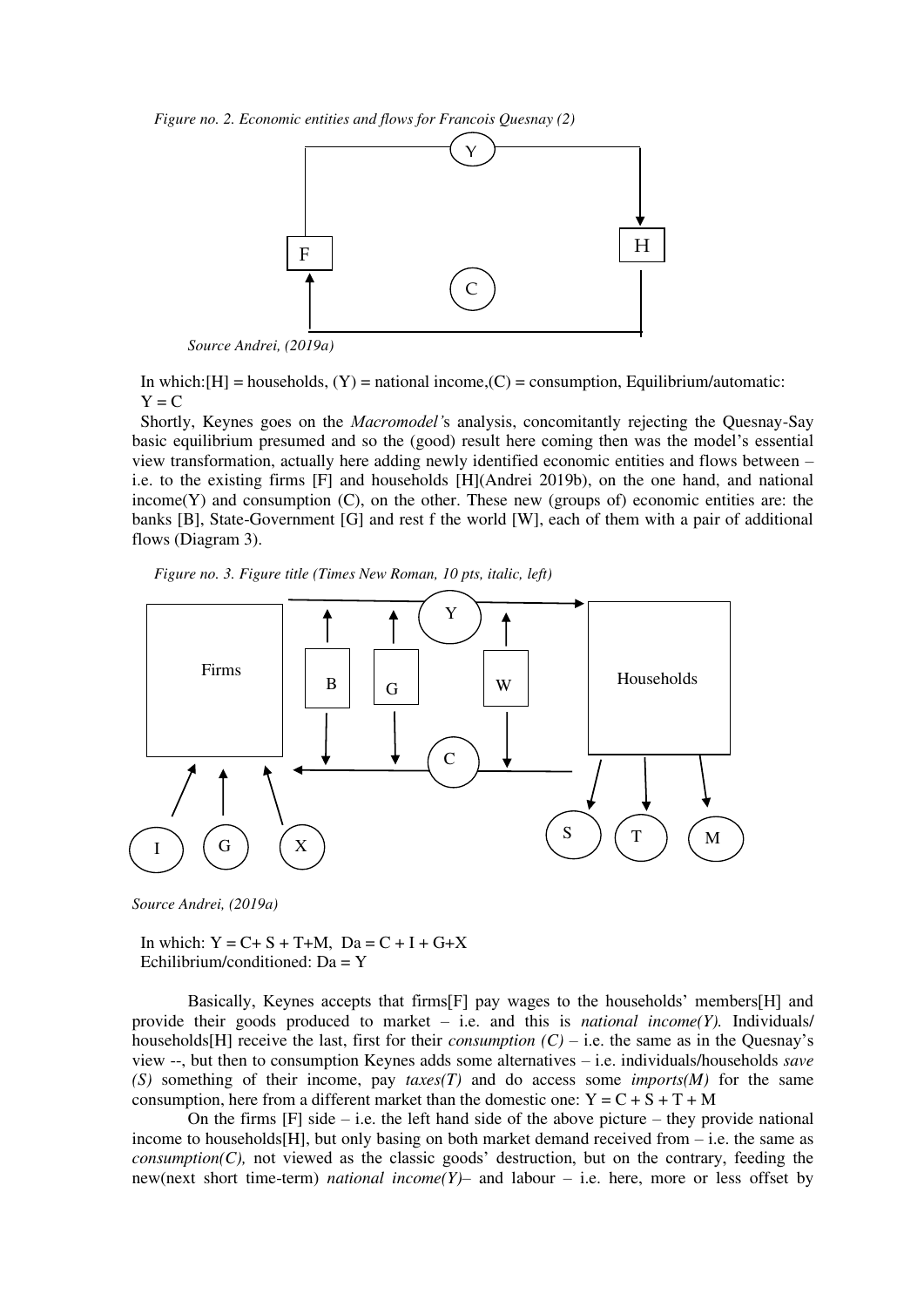*Figure no. 2. Economic entities and flows for Francois Quesnay (2)*



*Source Andrei, (2019a)* 

In which: $[H]$  = households,  $(Y)$  = national income,  $(C)$  = consumption, Equilibrium/automatic:  $Y = C$ 

Shortly, Keynes goes on the *Macromodel'*s analysis, concomitantly rejecting the Quesnay-Say basic equilibrium presumed and so the (good) result here coming then was the model's essential view transformation, actually here adding newly identified economic entities and flows between – i.e. to the existing firms [F] and households [H](Andrei 2019b), on the one hand, and national income $(Y)$  and consumption  $(C)$ , on the other. These new (groups of) economic entities are: the banks [B], State-Government [G] and rest f the world [W], each of them with a pair of additional flows (Diagram 3).





*Source Andrei, (2019a)* 

In which:  $Y = C + S + T + M$ ,  $Da = C + I + G + X$ Echilibrium/conditioned: Da = Y

Basically, Keynes accepts that firms[F] pay wages to the households' members[H] and provide their goods produced to market – i.e. and this is *national income(Y).* Individuals/ households[H] receive the last, first for their *consumption*  $(C)$  – i.e. the same as in the Quesnay's view --, but then to consumption Keynes adds some alternatives – i.e. individuals/households *save (S)* something of their income, pay *taxes(T)* and do access some *imports(M)* for the same consumption, here from a different market than the domestic one:  $Y = C + S + T + M$ 

On the firms  $[F]$  side – i.e. the left hand side of the above picture – they provide national income to households $[H]$ , but only basing on both market demand received from  $-$  i.e. the same as *consumption(C),* not viewed as the classic goods' destruction, but on the contrary, feeding the new(next short time-term) *national income(Y)*– and labour – i.e. here, more or less offset by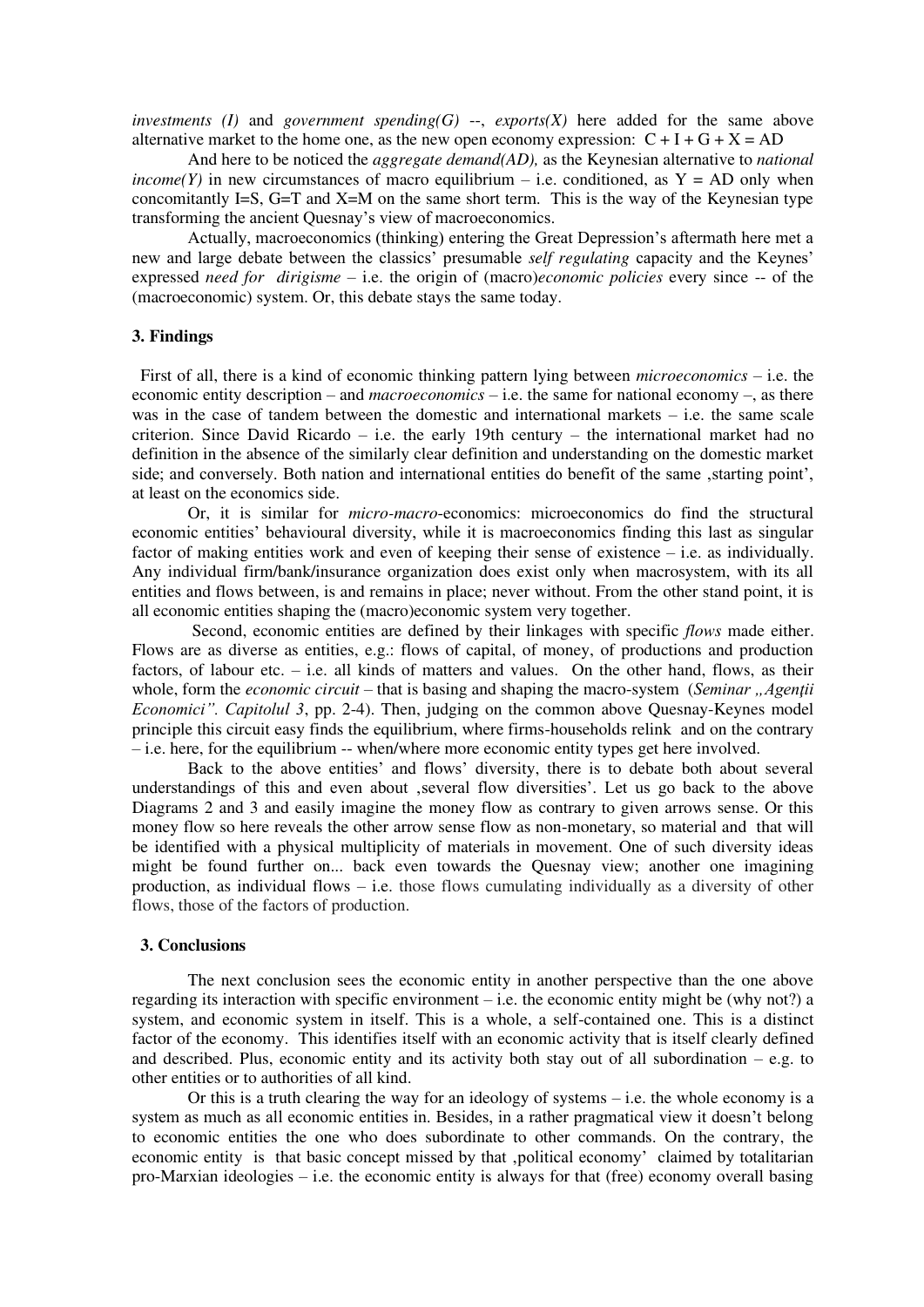*investments (I)* and *government spending(G)* --, *exports(X)* here added for the same above alternative market to the home one, as the new open economy expression:  $C + I + G + X = AD$ 

And here to be noticed the *aggregate demand(AD),* as the Keynesian alternative to *national income(Y)* in new circumstances of macro equilibrium – i.e. conditioned, as  $Y = AD$  only when concomitantly I=S, G=T and X=M on the same short term. This is the way of the Keynesian type transforming the ancient Quesnay's view of macroeconomics.

Actually, macroeconomics (thinking) entering the Great Depression's aftermath here met a new and large debate between the classics' presumable *self regulating* capacity and the Keynes' expressed *need for dirigisme* – i.e. the origin of (macro)*economic policies* every since -- of the (macroeconomic) system. Or, this debate stays the same today.

## **3. Findings**

First of all, there is a kind of economic thinking pattern lying between *microeconomics* – i.e. the economic entity description – and *macroeconomics* – i.e. the same for national economy –, as there was in the case of tandem between the domestic and international markets  $-$  i.e. the same scale criterion. Since David Ricardo – i.e. the early 19th century – the international market had no definition in the absence of the similarly clear definition and understanding on the domestic market side; and conversely. Both nation and international entities do benefit of the same, starting point', at least on the economics side.

 Or, it is similar for *micro-macro*-economics: microeconomics do find the structural economic entities' behavioural diversity, while it is macroeconomics finding this last as singular factor of making entities work and even of keeping their sense of existence – i.e. as individually. Any individual firm/bank/insurance organization does exist only when macrosystem, with its all entities and flows between, is and remains in place; never without. From the other stand point, it is all economic entities shaping the (macro)economic system very together.

 Second, economic entities are defined by their linkages with specific *flows* made either. Flows are as diverse as entities, e.g.: flows of capital, of money, of productions and production factors, of labour etc. – i.e. all kinds of matters and values. On the other hand, flows, as their whole, form the *economic circuit* – that is basing and shaping the macro-system (*Seminar , Agentii*) *Economici". Capitolul 3*, pp. 2-4). Then, judging on the common above Quesnay-Keynes model principle this circuit easy finds the equilibrium, where firms-households relink and on the contrary – i.e. here, for the equilibrium -- when/where more economic entity types get here involved.

Back to the above entities' and flows' diversity, there is to debate both about several understandings of this and even about , several flow diversities'. Let us go back to the above Diagrams 2 and 3 and easily imagine the money flow as contrary to given arrows sense. Or this money flow so here reveals the other arrow sense flow as non-monetary, so material and that will be identified with a physical multiplicity of materials in movement. One of such diversity ideas might be found further on... back even towards the Quesnay view; another one imagining production, as individual flows – i.e. those flows cumulating individually as a diversity of other flows, those of the factors of production.

### **3. Conclusions**

 The next conclusion sees the economic entity in another perspective than the one above regarding its interaction with specific environment  $-$  i.e. the economic entity might be (why not?) a system, and economic system in itself. This is a whole, a self-contained one. This is a distinct factor of the economy. This identifies itself with an economic activity that is itself clearly defined and described. Plus, economic entity and its activity both stay out of all subordination  $-$  e.g. to other entities or to authorities of all kind.

Or this is a truth clearing the way for an ideology of systems  $-$  i.e. the whole economy is a system as much as all economic entities in. Besides, in a rather pragmatical view it doesn't belong to economic entities the one who does subordinate to other commands. On the contrary, the economic entity is that basic concept missed by that ,political economy' claimed by totalitarian pro-Marxian ideologies – i.e. the economic entity is always for that (free) economy overall basing